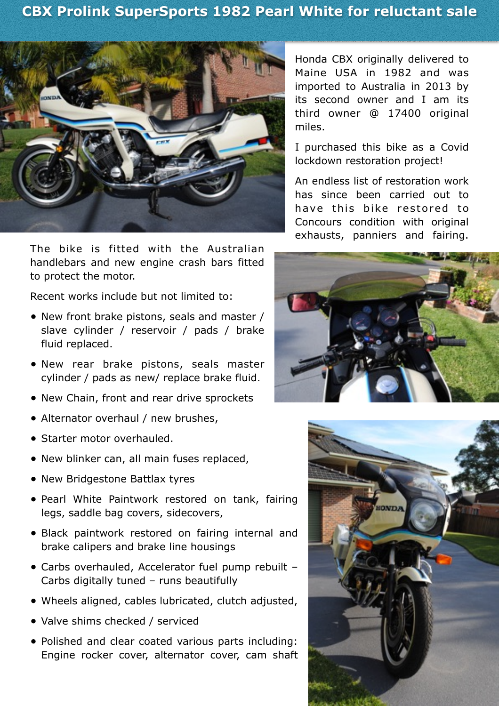## **CBX Prolink SuperSports 1982 Pearl White for reluctant sale**



The bike is fitted with the Australian handlebars and new engine crash bars fitted to protect the motor.

Recent works include but not limited to:

- New front brake pistons, seals and master / slave cylinder / reservoir / pads / brake fluid replaced.
- New rear brake pistons, seals master cylinder / pads as new/ replace brake fluid.
- New Chain, front and rear drive sprockets
- Alternator overhaul / new brushes,
- Starter motor overhauled.
- New blinker can, all main fuses replaced,
- New Bridgestone Battlax tyres
- Pearl White Paintwork restored on tank, fairing legs, saddle bag covers, sidecovers,
- Black paintwork restored on fairing internal and brake calipers and brake line housings
- Carbs overhauled, Accelerator fuel pump rebuilt Carbs digitally tuned – runs beautifully
- Wheels aligned, cables lubricated, clutch adjusted,
- Valve shims checked / serviced
- Polished and clear coated various parts including: Engine rocker cover, alternator cover, cam shaft

Honda CBX originally delivered to Maine USA in 1982 and was imported to Australia in 2013 by its second owner and I am its third owner @ 17400 original miles.

I purchased this bike as a Covid lockdown restoration project!

An endless list of restoration work has since been carried out to have this bike restored to Concours condition with original exhausts, panniers and fairing.



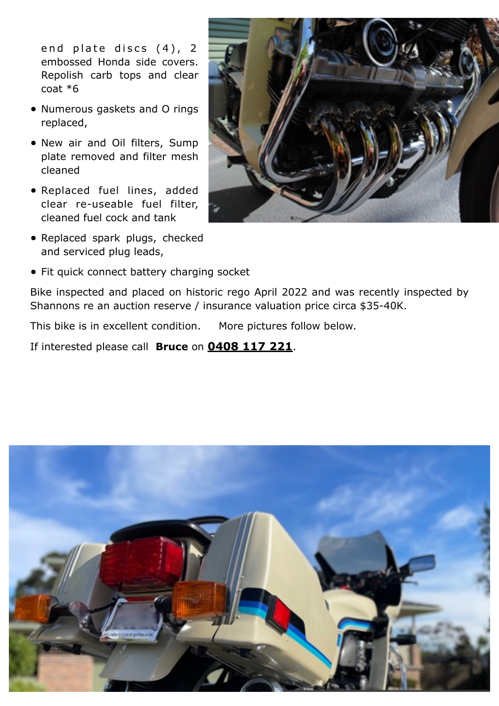end plate discs  $(4)$ , 2 embossed Honda side covers. Repolish carb tops and clear coat \*6

- Numerous gaskets and O rings replaced,
- New air and Oil filters, Sump plate removed and filter mesh cleaned
- Replaced fuel lines, added clear re-useable fuel filter, cleaned fuel cock and tank
- Replaced spark plugs, checked and serviced plug leads,
- Fit quick connect battery charging socket

Bike inspected and placed on historic rego April 2022 and was recently inspected by Shannons re an auction reserve / insurance valuation price circa \$35-40K.

This bike is in excellent condition. More pictures follow below.

If interested please call **Bruce** on **0408 117 221**.



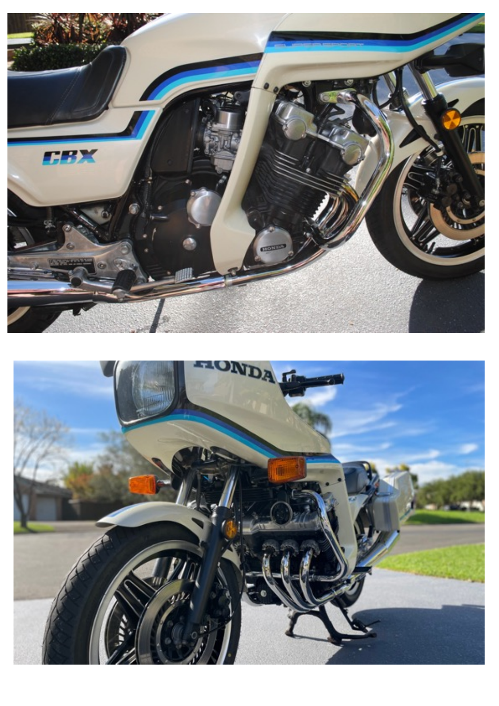

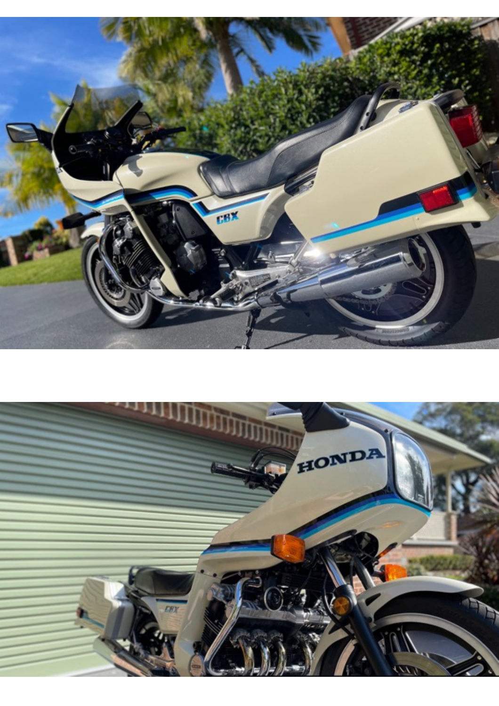